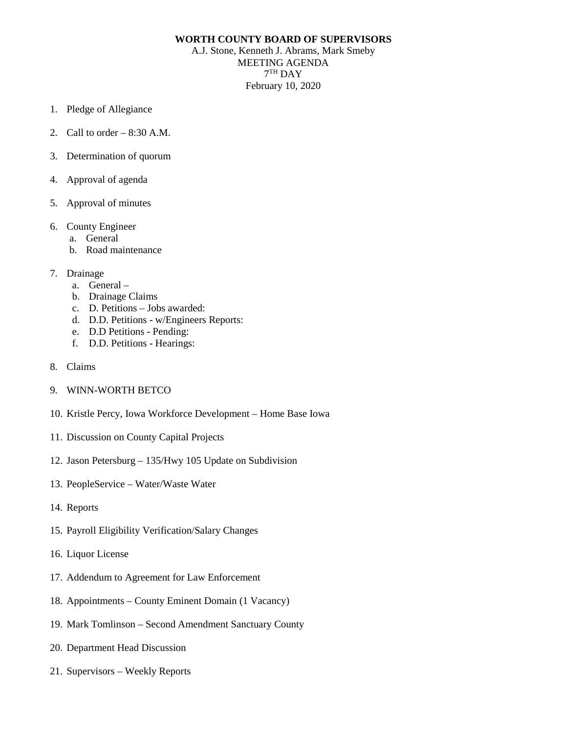## **WORTH COUNTY BOARD OF SUPERVISORS**

A.J. Stone, Kenneth J. Abrams, Mark Smeby MEETING AGENDA  $7<sup>TH</sup>$  DAY February 10, 2020

- 1. Pledge of Allegiance
- 2. Call to order 8:30 A.M.
- 3. Determination of quorum
- 4. Approval of agenda
- 5. Approval of minutes
- 6. County Engineer
	- a. General
	- b. Road maintenance
- 7. Drainage
	- a. General –
	- b. Drainage Claims
	- c. D. Petitions Jobs awarded:
	- d. D.D. Petitions w/Engineers Reports:
	- e. D.D Petitions Pending:
	- f. D.D. Petitions Hearings:
- 8. Claims
- 9. WINN-WORTH BETCO
- 10. Kristle Percy, Iowa Workforce Development Home Base Iowa
- 11. Discussion on County Capital Projects
- 12. Jason Petersburg 135/Hwy 105 Update on Subdivision
- 13. PeopleService Water/Waste Water
- 14. Reports
- 15. Payroll Eligibility Verification/Salary Changes
- 16. Liquor License
- 17. Addendum to Agreement for Law Enforcement
- 18. Appointments County Eminent Domain (1 Vacancy)
- 19. Mark Tomlinson Second Amendment Sanctuary County
- 20. Department Head Discussion
- 21. Supervisors Weekly Reports